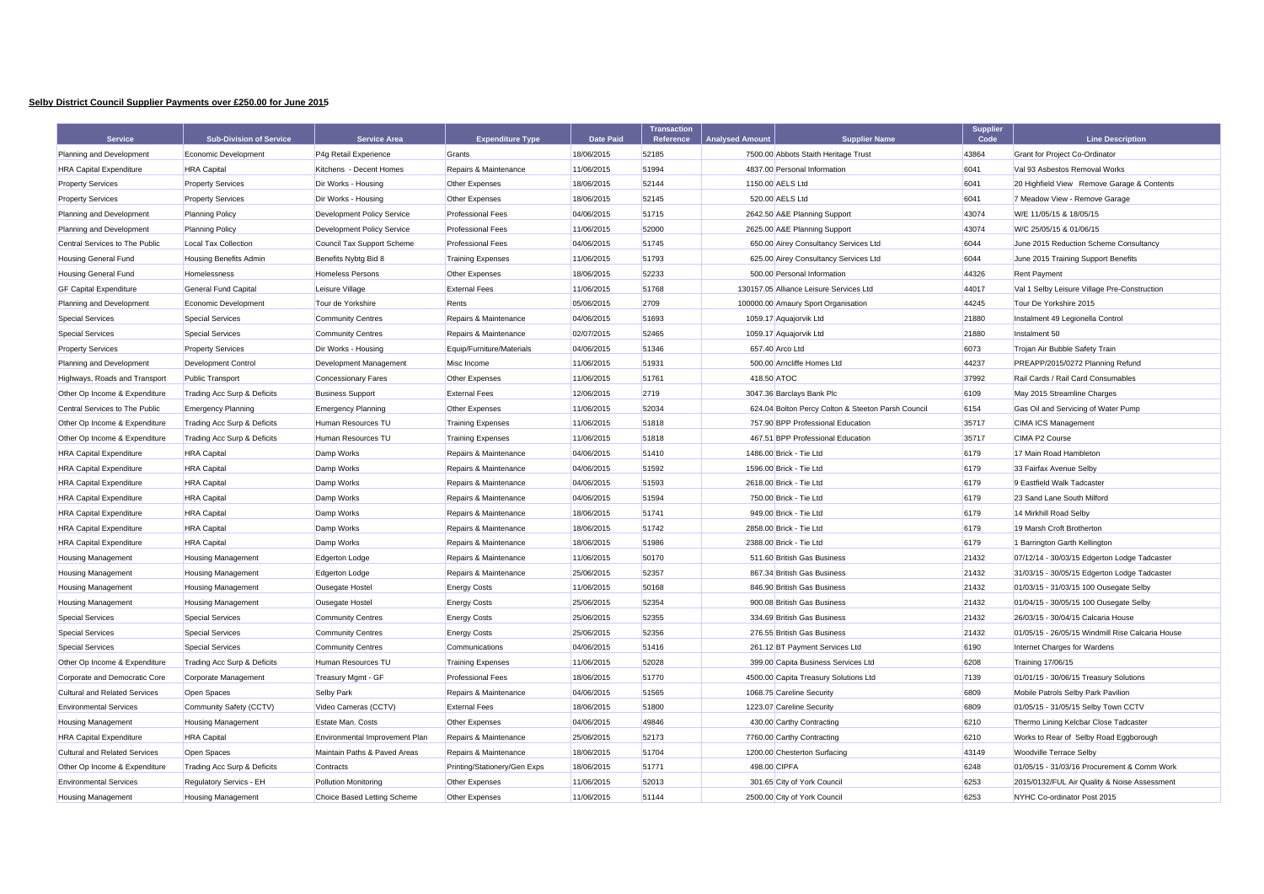## **Selby District Council Supplier Payments over £250.00 for June 2015**

| <b>Service</b>                       | <b>Sub-Division of Service</b> | <b>Service Area</b>            | <b>Expenditure Type</b>      | <b>Date Paid</b> | <b>Transaction</b><br><b>Reference</b> | <b>Analysed Amount</b> | <b>Supplier Name</b>                               | <b>Supplier</b><br>Code | <b>Line Description</b>                          |
|--------------------------------------|--------------------------------|--------------------------------|------------------------------|------------------|----------------------------------------|------------------------|----------------------------------------------------|-------------------------|--------------------------------------------------|
| Planning and Development             | Economic Development           | P4g Retail Experience          | Grants                       | 18/06/2015       | 52185                                  |                        | 7500.00 Abbots Staith Heritage Trust               | 43864                   | <b>Grant for Project Co-Ordinator</b>            |
| <b>HRA Capital Expenditure</b>       | <b>HRA</b> Capital             | Kitchens - Decent Homes        | Repairs & Maintenance        | 11/06/2015       | 51994                                  |                        | 4837.00 Personal Information                       | 6041                    | Val 93 Asbestos Removal Works                    |
| <b>Property Services</b>             | <b>Property Services</b>       | Dir Works - Housing            | Other Expenses               | 18/06/2015       | 52144                                  |                        | 1150.00 AELS Ltd                                   | 6041                    | 20 Highfield View Remove Garage & Contents       |
| <b>Property Services</b>             | <b>Property Services</b>       | Dir Works - Housing            | Other Expenses               | 18/06/2015       | 52145                                  |                        | 520.00 AELS Ltd                                    | 6041                    | 7 Meadow View - Remove Garage                    |
| Planning and Development             | <b>Planning Policy</b>         | Development Policy Service     | <b>Professional Fees</b>     | 04/06/2015       | 51715                                  |                        | 2642.50 A&E Planning Support                       | 43074                   | W/E 11/05/15 & 18/05/15                          |
| Planning and Development             | <b>Planning Policy</b>         | Development Policy Service     | <b>Professional Fees</b>     | 11/06/2015       | 52000                                  |                        | 2625.00 A&E Planning Support                       | 43074                   | W/C 25/05/15 & 01/06/15                          |
| Central Services to The Public       | Local Tax Collection           | Council Tax Support Scheme     | <b>Professional Fees</b>     | 04/06/2015       | 51745                                  |                        | 650.00 Airey Consultancy Services Ltd              | 6044                    | June 2015 Reduction Scheme Consultancy           |
| <b>Housing General Fund</b>          | <b>Housing Benefits Admin</b>  | Benefits Nybtg Bid 8           | <b>Training Expenses</b>     | 11/06/2015       | 51793                                  |                        | 625.00 Airey Consultancy Services Ltd              | 6044                    | June 2015 Training Support Benefits              |
| <b>Housing General Fund</b>          | Homelessness                   | <b>Homeless Persons</b>        | Other Expenses               | 18/06/2015       | 52233                                  |                        | 500.00 Personal Information                        | 44326                   | <b>Rent Payment</b>                              |
| <b>GF Capital Expenditure</b>        | General Fund Capital           | Leisure Village                | <b>External Fees</b>         | 11/06/2015       | 51768                                  |                        | 130157.05 Alliance Leisure Services Ltd            | 44017                   | Val 1 Selby Leisure Village Pre-Construction     |
| Planning and Development             | Economic Development           | Tour de Yorkshire              | Rents                        | 05/06/2015       | 2709                                   |                        | 100000.00 Amaury Sport Organisation                | 44245                   | Tour De Yorkshire 2015                           |
| <b>Special Services</b>              | <b>Special Services</b>        | <b>Community Centres</b>       | Repairs & Maintenance        | 04/06/2015       | 51693                                  |                        | 1059.17 Aquajorvik Ltd                             | 21880                   | Instalment 49 Legionella Control                 |
| <b>Special Services</b>              | Special Services               | <b>Community Centres</b>       | Repairs & Maintenance        | 02/07/2015       | 52465                                  |                        | 1059.17 Aquajorvik Ltd                             | 21880                   | Instalment 50                                    |
| <b>Property Services</b>             | <b>Property Services</b>       | Dir Works - Housing            | Equip/Furniture/Materials    | 04/06/2015       | 51346                                  | 657.40 Arco Ltd        |                                                    | 6073                    | Trojan Air Bubble Safety Train                   |
| Planning and Development             | Development Control            | Development Management         | Misc Income                  | 11/06/2015       | 51931                                  |                        | 500.00 Arncliffe Homes Ltd                         | 44237                   | PREAPP/2015/0272 Planning Refund                 |
| Highways, Roads and Transport        | <b>Public Transport</b>        | <b>Concessionary Fares</b>     | Other Expenses               | 11/06/2015       | 51761                                  | 418.50 ATOC            |                                                    | 37992                   | Rail Cards / Rail Card Consumables               |
| Other Op Income & Expenditure        | Trading Acc Surp & Deficits    | <b>Business Support</b>        | <b>External Fees</b>         | 12/06/2015       | 2719                                   |                        | 3047.36 Barclays Bank Plc                          | 6109                    | May 2015 Streamline Charges                      |
| Central Services to The Public       | <b>Emergency Planning</b>      | <b>Emergency Planning</b>      | Other Expenses               | 11/06/2015       | 52034                                  |                        | 624.04 Bolton Percy Colton & Steeton Parsh Council | 6154                    | Gas Oil and Servicing of Water Pump              |
| Other Op Income & Expenditure        | Trading Acc Surp & Deficits    | Human Resources TU             | <b>Training Expenses</b>     | 11/06/2015       | 51818                                  |                        | 757.90 BPP Professional Education                  | 35717                   | <b>CIMA ICS Management</b>                       |
| Other Op Income & Expenditure        | Trading Acc Surp & Deficits    | Human Resources TU             | <b>Training Expenses</b>     | 11/06/2015       | 51818                                  |                        | 467.51 BPP Professional Education                  | 35717                   | CIMA P2 Course                                   |
| <b>HRA Capital Expenditure</b>       | <b>HRA</b> Capital             | Damp Works                     | Repairs & Maintenance        | 04/06/2015       | 51410                                  |                        | 1486.00 Brick - Tie Ltd                            | 6179                    | 17 Main Road Hambleton                           |
| <b>HRA Capital Expenditure</b>       | <b>HRA</b> Capital             | Damp Works                     | Repairs & Maintenance        | 04/06/2015       | 51592                                  |                        | 1596.00 Brick - Tie Ltd                            | 6179                    | 33 Fairfax Avenue Selby                          |
| <b>HRA Capital Expenditure</b>       | <b>HRA</b> Capital             | Damp Works                     | Repairs & Maintenance        | 04/06/2015       | 51593                                  |                        | 2618.00 Brick - Tie Ltd                            | 6179                    | 9 Eastfield Walk Tadcaster                       |
| <b>HRA Capital Expenditure</b>       | <b>HRA</b> Capital             | Damp Works                     | Repairs & Maintenance        | 04/06/2015       | 51594                                  |                        | 750.00 Brick - Tie Ltd                             | 6179                    | 23 Sand Lane South Milford                       |
| <b>HRA Capital Expenditure</b>       | <b>HRA</b> Capital             | Damp Works                     | Repairs & Maintenance        | 18/06/2015       | 51741                                  |                        | 949.00 Brick - Tie Ltd                             | 6179                    | 14 Mirkhill Road Selby                           |
| <b>HRA Capital Expenditure</b>       | <b>HRA</b> Capital             | Damp Works                     | Repairs & Maintenance        | 18/06/2015       | 51742                                  |                        | 2858.00 Brick - Tie Ltd                            | 6179                    | 19 Marsh Croft Brotherton                        |
| <b>HRA Capital Expenditure</b>       | <b>HRA</b> Capital             | Damp Works                     | Repairs & Maintenance        | 18/06/2015       | 51986                                  |                        | 2388.00 Brick - Tie Ltd                            | 6179                    | 1 Barrington Garth Kellington                    |
| <b>Housing Management</b>            | <b>Housing Management</b>      | <b>Edgerton Lodge</b>          | Repairs & Maintenance        | 11/06/2015       | 50170                                  |                        | 511.60 British Gas Business                        | 21432                   | 07/12/14 - 30/03/15 Edgerton Lodge Tadcaster     |
| <b>Housing Management</b>            | <b>Housing Management</b>      | Edgerton Lodge                 | Repairs & Maintenance        | 25/06/2015       | 52357                                  |                        | 867.34 British Gas Business                        | 21432                   | 31/03/15 - 30/05/15 Edgerton Lodge Tadcaster     |
| <b>Housing Management</b>            | <b>Housing Management</b>      | <b>Ousegate Hostel</b>         | <b>Energy Costs</b>          | 11/06/2015       | 50168                                  |                        | 846.90 British Gas Business                        | 21432                   | 01/03/15 - 31/03/15 100 Ousegate Selby           |
| <b>Housing Management</b>            | <b>Housing Management</b>      | <b>Ousegate Hostel</b>         | <b>Energy Costs</b>          | 25/06/2015       | 52354                                  |                        | 900.08 British Gas Business                        | 21432                   | 01/04/15 - 30/05/15 100 Ousegate Selby           |
| <b>Special Services</b>              | <b>Special Services</b>        | <b>Community Centres</b>       | <b>Energy Costs</b>          | 25/06/2015       | 52355                                  |                        | 334.69 British Gas Business                        | 21432                   | 26/03/15 - 30/04/15 Calcaria House               |
| <b>Special Services</b>              | Special Services               | <b>Community Centres</b>       | <b>Energy Costs</b>          | 25/06/2015       | 52356                                  |                        | 276.55 British Gas Business                        | 21432                   | 01/05/15 - 26/05/15 Windmill Rise Calcaria House |
| Special Services                     | <b>Special Services</b>        | <b>Community Centres</b>       | Communications               | 04/06/2015       | 51416                                  |                        | 261.12 BT Payment Services Ltd                     | 6190                    | Internet Charges for Wardens                     |
| Other Op Income & Expenditure        | Trading Acc Surp & Deficits    | Human Resources TU             | <b>Training Expenses</b>     | 11/06/2015       | 52028                                  |                        | 399.00 Capita Business Services Ltd                | 6208                    | <b>Training 17/06/15</b>                         |
| Corporate and Democratic Core        | Corporate Management           | Treasury Mgmt - GF             | <b>Professional Fees</b>     | 18/06/2015       | 51770                                  |                        | 4500.00 Capita Treasury Solutions Ltd              | 7139                    | 01/01/15 - 30/06/15 Treasury Solutions           |
| <b>Cultural and Related Services</b> | Open Spaces                    | <b>Selby Park</b>              | Repairs & Maintenance        | 04/06/2015       | 51565                                  |                        | 1068.75 Careline Security                          | 6809                    | Mobile Patrols Selby Park Pavilion               |
| <b>Environmental Services</b>        | Community Safety (CCTV)        | Video Cameras (CCTV)           | <b>External Fees</b>         | 18/06/2015       | 51800                                  |                        | 1223.07 Careline Security                          | 6809                    | 01/05/15 - 31/05/15 Selby Town CCTV              |
| <b>Housing Management</b>            | <b>Housing Management</b>      | Estate Man. Costs              | Other Expenses               | 04/06/2015       | 49846                                  |                        | 430.00 Carthy Contracting                          | 6210                    | Thermo Lining Kelcbar Close Tadcaster            |
| <b>HRA Capital Expenditure</b>       | <b>HRA</b> Capital             | Environmental Improvement Plan | Repairs & Maintenance        | 25/06/2015       | 52173                                  |                        | 7760.00 Carthy Contracting                         | 6210                    | Works to Rear of Selby Road Eggborough           |
| <b>Cultural and Related Services</b> | Open Spaces                    | Maintain Paths & Paved Areas   | Repairs & Maintenance        | 18/06/2015       | 51704                                  |                        | 1200.00 Chesterton Surfacing                       | 43149                   | <b>Woodville Terrace Selby</b>                   |
| Other Op Income & Expenditure        | Trading Acc Surp & Deficits    | Contracts                      | Printing/Stationery/Gen Exps | 18/06/2015       | 51771                                  | 498.00 CIPFA           |                                                    | 6248                    | 01/05/15 - 31/03/16 Procurement & Comm Work      |
| <b>Environmental Services</b>        | Regulatory Servics - EH        | <b>Pollution Monitoring</b>    | Other Expenses               | 11/06/2015       | 52013                                  |                        | 301.65 City of York Council                        | 6253                    | 2015/0132/FUL Air Quality & Noise Assessment     |
| <b>Housing Management</b>            | <b>Housing Management</b>      | Choice Based Letting Scheme    | Other Expenses               | 11/06/2015       | 51144                                  |                        | 2500.00 City of York Council                       | 6253                    | NYHC Co-ordinator Post 2015                      |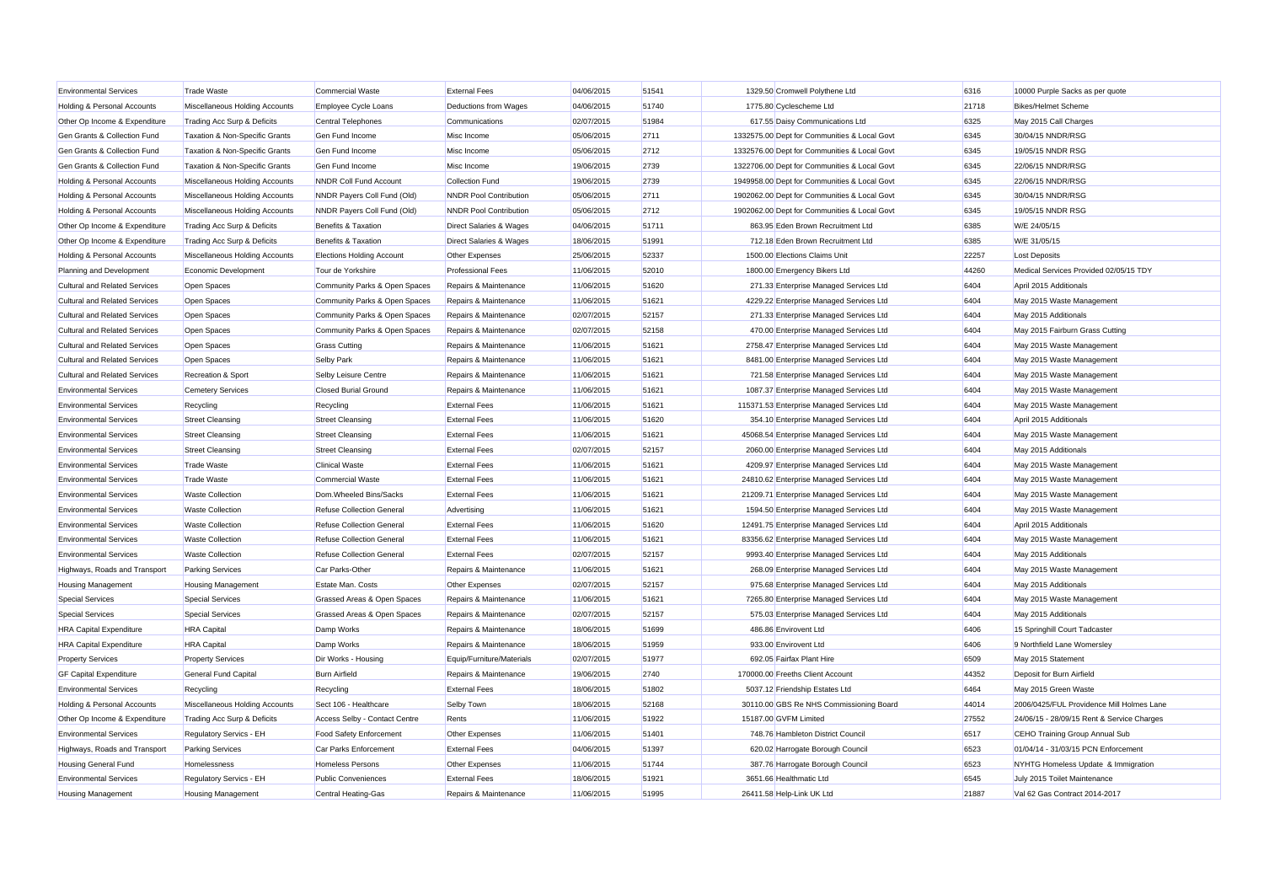| <b>Environmental Services</b>          | <b>Trade Waste</b>             | <b>Commercial Waste</b>          | <b>External Fees</b>          | 04/06/2015 | 51541 | 1329.50 Cromwell Polythene Ltd               | 6316  | 10000 Purple Sacks as per quote            |
|----------------------------------------|--------------------------------|----------------------------------|-------------------------------|------------|-------|----------------------------------------------|-------|--------------------------------------------|
| Holding & Personal Accounts            | Miscellaneous Holding Accounts | Employee Cycle Loans             | Deductions from Wages         | 04/06/2015 | 51740 | 1775.80 Cyclescheme Ltd                      | 21718 | <b>Bikes/Helmet Scheme</b>                 |
| Other Op Income & Expenditure          | Trading Acc Surp & Deficits    | <b>Central Telephones</b>        | Communications                | 02/07/2015 | 51984 | 617.55 Daisy Communications Ltd              | 6325  | May 2015 Call Charges                      |
| Gen Grants & Collection Fund           | Taxation & Non-Specific Grants | Gen Fund Income                  | Misc Income                   | 05/06/2015 | 2711  | 1332575.00 Dept for Communities & Local Govt | 6345  | 30/04/15 NNDR/RSG                          |
| Gen Grants & Collection Fund           | Taxation & Non-Specific Grants | Gen Fund Income                  | Misc Income                   | 05/06/2015 | 2712  | 1332576.00 Dept for Communities & Local Govt | 6345  | 19/05/15 NNDR RSG                          |
| Gen Grants & Collection Fund           | Taxation & Non-Specific Grants | Gen Fund Income                  | Misc Income                   | 19/06/2015 | 2739  | 1322706.00 Dept for Communities & Local Govt | 6345  | 22/06/15 NNDR/RSG                          |
| <b>Holding &amp; Personal Accounts</b> | Miscellaneous Holding Accounts | <b>NNDR Coll Fund Account</b>    | Collection Fund               | 19/06/2015 | 2739  | 1949958.00 Dept for Communities & Local Govt | 6345  | 22/06/15 NNDR/RSG                          |
| <b>Holding &amp; Personal Accounts</b> | Miscellaneous Holding Accounts | NNDR Payers Coll Fund (Old)      | <b>NNDR Pool Contribution</b> | 05/06/2015 | 2711  | 1902062.00 Dept for Communities & Local Govt | 6345  | 30/04/15 NNDR/RSG                          |
| Holding & Personal Accounts            | Miscellaneous Holding Accounts | NNDR Payers Coll Fund (Old)      | <b>NNDR Pool Contribution</b> | 05/06/2015 | 2712  | 1902062.00 Dept for Communities & Local Govt | 6345  | 19/05/15 NNDR RSG                          |
| Other Op Income & Expenditure          | Trading Acc Surp & Deficits    | Benefits & Taxation              | Direct Salaries & Wages       | 04/06/2015 | 51711 | 863.95 Eden Brown Recruitment Ltd            | 6385  | W/E 24/05/15                               |
| Other Op Income & Expenditure          | Trading Acc Surp & Deficits    | <b>Benefits &amp; Taxation</b>   | Direct Salaries & Wages       | 18/06/2015 | 51991 | 712.18 Eden Brown Recruitment Ltd            | 6385  | W/E 31/05/15                               |
| Holding & Personal Accounts            | Miscellaneous Holding Accounts | <b>Elections Holding Account</b> | Other Expenses                | 25/06/2015 | 52337 | 1500.00 Elections Claims Unit                | 22257 | <b>Lost Deposits</b>                       |
| Planning and Development               | Economic Development           | Tour de Yorkshire                | <b>Professional Fees</b>      | 11/06/2015 | 52010 | 1800.00 Emergency Bikers Ltd                 | 44260 | Medical Services Provided 02/05/15 TDY     |
| <b>Cultural and Related Services</b>   | Open Spaces                    | Community Parks & Open Spaces    | Repairs & Maintenance         | 11/06/2015 | 51620 | 271.33 Enterprise Managed Services Ltd       | 6404  | April 2015 Additionals                     |
| <b>Cultural and Related Services</b>   | Open Spaces                    | Community Parks & Open Spaces    | Repairs & Maintenance         | 11/06/2015 | 51621 | 4229.22 Enterprise Managed Services Ltd      | 6404  | May 2015 Waste Management                  |
| <b>Cultural and Related Services</b>   | Open Spaces                    | Community Parks & Open Spaces    | Repairs & Maintenance         | 02/07/2015 | 52157 | 271.33 Enterprise Managed Services Ltd       | 6404  | May 2015 Additionals                       |
| <b>Cultural and Related Services</b>   | Open Spaces                    | Community Parks & Open Spaces    | Repairs & Maintenance         | 02/07/2015 | 52158 | 470.00 Enterprise Managed Services Ltd       | 6404  | May 2015 Fairburn Grass Cutting            |
| <b>Cultural and Related Services</b>   | Open Spaces                    | <b>Grass Cutting</b>             | Repairs & Maintenance         | 11/06/2015 | 51621 | 2758.47 Enterprise Managed Services Ltd      | 6404  | May 2015 Waste Management                  |
| <b>Cultural and Related Services</b>   | <b>Open Spaces</b>             | Selby Park                       | Repairs & Maintenance         | 11/06/2015 | 51621 | 8481.00 Enterprise Managed Services Ltd      | 6404  | May 2015 Waste Management                  |
| <b>Cultural and Related Services</b>   | Recreation & Sport             | Selby Leisure Centre             | Repairs & Maintenance         | 11/06/2015 | 51621 | 721.58 Enterprise Managed Services Ltd       | 6404  | May 2015 Waste Management                  |
| <b>Environmental Services</b>          | <b>Cemetery Services</b>       | <b>Closed Burial Ground</b>      | Repairs & Maintenance         | 11/06/2015 | 51621 | 1087.37 Enterprise Managed Services Ltd      | 6404  | May 2015 Waste Management                  |
| <b>Environmental Services</b>          | Recycling                      | Recycling                        | <b>External Fees</b>          | 11/06/2015 | 51621 | 115371.53 Enterprise Managed Services Ltd    | 6404  | May 2015 Waste Management                  |
| <b>Environmental Services</b>          | <b>Street Cleansing</b>        | <b>Street Cleansing</b>          | <b>External Fees</b>          | 11/06/2015 | 51620 | 354.10 Enterprise Managed Services Ltd       | 6404  | April 2015 Additionals                     |
| <b>Environmental Services</b>          | <b>Street Cleansing</b>        | <b>Street Cleansing</b>          | <b>External Fees</b>          | 11/06/2015 | 51621 | 45068.54 Enterprise Managed Services Ltd     | 6404  | May 2015 Waste Management                  |
| <b>Environmental Services</b>          | <b>Street Cleansing</b>        | <b>Street Cleansing</b>          | <b>External Fees</b>          | 02/07/2015 | 52157 | 2060.00 Enterprise Managed Services Ltd      | 6404  | May 2015 Additionals                       |
| <b>Environmental Services</b>          | <b>Trade Waste</b>             | <b>Clinical Waste</b>            | <b>External Fees</b>          | 11/06/2015 | 51621 | 4209.97 Enterprise Managed Services Ltd      | 6404  | May 2015 Waste Management                  |
| <b>Environmental Services</b>          | <b>Trade Waste</b>             | <b>Commercial Waste</b>          | <b>External Fees</b>          | 11/06/2015 | 51621 | 24810.62 Enterprise Managed Services Ltd     | 6404  | May 2015 Waste Management                  |
| <b>Environmental Services</b>          | <b>Waste Collection</b>        | Dom. Wheeled Bins/Sacks          | <b>External Fees</b>          | 11/06/2015 | 51621 | 21209.71 Enterprise Managed Services Ltd     | 6404  | May 2015 Waste Management                  |
| <b>Environmental Services</b>          | <b>Waste Collection</b>        | <b>Refuse Collection General</b> | Advertising                   | 11/06/2015 | 51621 | 1594.50 Enterprise Managed Services Ltd      | 6404  | May 2015 Waste Management                  |
| <b>Environmental Services</b>          | <b>Waste Collection</b>        | <b>Refuse Collection General</b> | <b>External Fees</b>          | 11/06/2015 | 51620 | 12491.75 Enterprise Managed Services Ltd     | 6404  | April 2015 Additionals                     |
| <b>Environmental Services</b>          | <b>Waste Collection</b>        | <b>Refuse Collection General</b> | <b>External Fees</b>          | 11/06/2015 | 51621 | 83356.62 Enterprise Managed Services Ltd     | 6404  | May 2015 Waste Management                  |
| <b>Environmental Services</b>          | <b>Waste Collection</b>        | <b>Refuse Collection General</b> | <b>External Fees</b>          | 02/07/2015 | 52157 | 9993.40 Enterprise Managed Services Ltd      | 6404  | May 2015 Additionals                       |
| Highways, Roads and Transport          | <b>Parking Services</b>        | Car Parks-Other                  | Repairs & Maintenance         | 11/06/2015 | 51621 | 268.09 Enterprise Managed Services Ltd       | 6404  | May 2015 Waste Management                  |
| <b>Housing Management</b>              | <b>Housing Management</b>      | Estate Man. Costs                | Other Expenses                | 02/07/2015 | 52157 | 975.68 Enterprise Managed Services Ltd       | 6404  | May 2015 Additionals                       |
| <b>Special Services</b>                | <b>Special Services</b>        | Grassed Areas & Open Spaces      | Repairs & Maintenance         | 11/06/2015 | 51621 | 7265.80 Enterprise Managed Services Ltd      | 6404  | May 2015 Waste Management                  |
| Special Services                       | Special Services               | Grassed Areas & Open Spaces      | Repairs & Maintenance         | 02/07/2015 | 52157 | 575.03 Enterprise Managed Services Ltd       | 6404  | May 2015 Additionals                       |
| <b>HRA Capital Expenditure</b>         | <b>HRA</b> Capital             | Damp Works                       | Repairs & Maintenance         | 18/06/2015 | 51699 | 486.86 Envirovent Ltd                        | 6406  | 15 Springhill Court Tadcaster              |
| <b>HRA Capital Expenditure</b>         | <b>HRA</b> Capital             | Damp Works                       | Repairs & Maintenance         | 18/06/2015 | 51959 | 933.00 Envirovent Ltd                        | 6406  | 9 Northfield Lane Womersley                |
| <b>Property Services</b>               | <b>Property Services</b>       | Dir Works - Housing              | Equip/Furniture/Materials     | 02/07/2015 | 51977 | 692.05 Fairfax Plant Hire                    | 6509  | May 2015 Statement                         |
| <b>GF Capital Expenditure</b>          | General Fund Capital           | <b>Burn Airfield</b>             | Repairs & Maintenance         | 19/06/2015 | 2740  | 170000.00 Freeths Client Account             | 44352 | Deposit for Burn Airfield                  |
| <b>Environmental Services</b>          | Recycling                      | Recycling                        | <b>External Fees</b>          | 18/06/2015 | 51802 | 5037.12 Friendship Estates Ltd               | 6464  | May 2015 Green Waste                       |
| Holding & Personal Accounts            | Miscellaneous Holding Accounts | Sect 106 - Healthcare            | Selby Town                    | 18/06/2015 | 52168 | 30110.00 GBS Re NHS Commissioning Board      | 44014 | 2006/0425/FUL Providence Mill Holmes Lane  |
| Other Op Income & Expenditure          | Trading Acc Surp & Deficits    | Access Selby - Contact Centre    | Rents                         | 11/06/2015 | 51922 | 15187.00 GVFM Limited                        | 27552 | 24/06/15 - 28/09/15 Rent & Service Charges |
| <b>Environmental Services</b>          | <b>Regulatory Servics - EH</b> | Food Safety Enforcement          | <b>Other Expenses</b>         | 11/06/2015 | 51401 | 748.76 Hambleton District Council            | 6517  | CEHO Training Group Annual Sub             |
| Highways, Roads and Transport          | <b>Parking Services</b>        | Car Parks Enforcement            | <b>External Fees</b>          | 04/06/2015 | 51397 | 620.02 Harrogate Borough Council             | 6523  | 01/04/14 - 31/03/15 PCN Enforcement        |
| <b>Housing General Fund</b>            | Homelessness                   | <b>Homeless Persons</b>          | Other Expenses                | 11/06/2015 | 51744 | 387.76 Harrogate Borough Council             | 6523  | NYHTG Homeless Update & Immigration        |
| <b>Environmental Services</b>          | Regulatory Servics - EH        | <b>Public Conveniences</b>       | <b>External Fees</b>          | 18/06/2015 | 51921 | 3651.66 Healthmatic Ltd                      | 6545  | July 2015 Toilet Maintenance               |
| <b>Housing Management</b>              | <b>Housing Management</b>      | Central Heating-Gas              | Repairs & Maintenance         | 11/06/2015 | 51995 | 26411.58 Help-Link UK Ltd                    | 21887 | Val 62 Gas Contract 2014-2017              |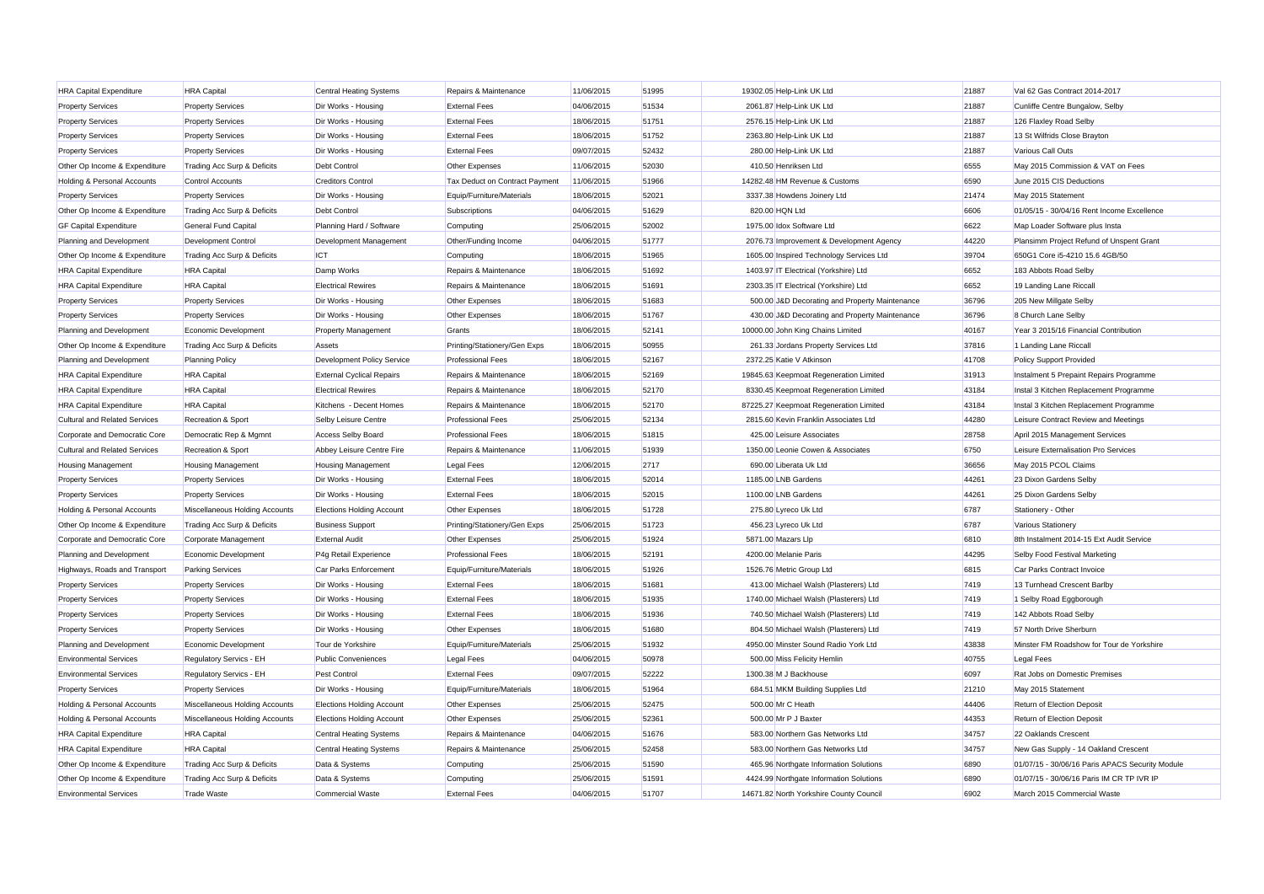| <b>HRA Capital Expenditure</b>         | <b>HRA</b> Capital             | <b>Central Heating Systems</b>   | Repairs & Maintenance          | 11/06/2015 | 51995 |                    | 19302.05 Help-Link UK Ltd                      | 21887 | Val 62 Gas Contract 2014-2017                   |
|----------------------------------------|--------------------------------|----------------------------------|--------------------------------|------------|-------|--------------------|------------------------------------------------|-------|-------------------------------------------------|
| <b>Property Services</b>               | <b>Property Services</b>       | Dir Works - Housing              | <b>External Fees</b>           | 04/06/2015 | 51534 |                    | 2061.87 Help-Link UK Ltd                       | 21887 | Cunliffe Centre Bungalow, Selby                 |
| <b>Property Services</b>               | <b>Property Services</b>       | Dir Works - Housing              | <b>External Fees</b>           | 18/06/2015 | 51751 |                    | 2576.15 Help-Link UK Ltd                       | 21887 | 126 Flaxley Road Selby                          |
| <b>Property Services</b>               | <b>Property Services</b>       | Dir Works - Housing              | <b>External Fees</b>           | 18/06/2015 | 51752 |                    | 2363.80 Help-Link UK Ltd                       | 21887 | 13 St Wilfrids Close Brayton                    |
| <b>Property Services</b>               | <b>Property Services</b>       | Dir Works - Housing              | <b>External Fees</b>           | 09/07/2015 | 52432 |                    | 280.00 Help-Link UK Ltd                        | 21887 | Various Call Outs                               |
| Other Op Income & Expenditure          | Trading Acc Surp & Deficits    | Debt Control                     | Other Expenses                 | 11/06/2015 | 52030 |                    | 410.50 Henriksen Ltd                           | 6555  | May 2015 Commission & VAT on Fees               |
| <b>Holding &amp; Personal Accounts</b> | Control Accounts               | <b>Creditors Control</b>         | Tax Deduct on Contract Payment | 11/06/2015 | 51966 |                    | 14282.48 HM Revenue & Customs                  | 6590  | June 2015 CIS Deductions                        |
| <b>Property Services</b>               | <b>Property Services</b>       | Dir Works - Housing              | Equip/Furniture/Materials      | 18/06/2015 | 52021 |                    | 3337.38 Howdens Joinery Ltd                    | 21474 | May 2015 Statement                              |
| Other Op Income & Expenditure          | Trading Acc Surp & Deficits    | Debt Control                     | Subscriptions                  | 04/06/2015 | 51629 | 820.00 HQN Ltd     |                                                | 6606  | 01/05/15 - 30/04/16 Rent Income Excellence      |
| <b>GF Capital Expenditure</b>          | General Fund Capital           | Planning Hard / Software         | Computing                      | 25/06/2015 | 52002 |                    | 1975.00 Idox Software Ltd                      | 6622  | Map Loader Software plus Insta                  |
| Planning and Development               | <b>Development Control</b>     | Development Management           | Other/Funding Income           | 04/06/2015 | 51777 |                    | 2076.73 Improvement & Development Agency       | 44220 | Plansimm Project Refund of Unspent Grant        |
| Other Op Income & Expenditure          | Trading Acc Surp & Deficits    | ICT                              | Computing                      | 18/06/2015 | 51965 |                    | 1605.00 Inspired Technology Services Ltd       | 39704 | 650G1 Core i5-4210 15.6 4GB/50                  |
| <b>HRA Capital Expenditure</b>         | <b>HRA</b> Capital             | Damp Works                       | Repairs & Maintenance          | 18/06/2015 | 51692 |                    | 1403.97 IT Electrical (Yorkshire) Ltd          | 6652  | 183 Abbots Road Selby                           |
| <b>HRA Capital Expenditure</b>         | <b>HRA</b> Capital             | <b>Electrical Rewires</b>        | Repairs & Maintenance          | 18/06/2015 | 51691 |                    | 2303.35 IT Electrical (Yorkshire) Ltd          | 6652  | 19 Landing Lane Riccall                         |
| <b>Property Services</b>               | <b>Property Services</b>       | Dir Works - Housing              | Other Expenses                 | 18/06/2015 | 51683 |                    | 500.00 J&D Decorating and Property Maintenance | 36796 | 205 New Millgate Selby                          |
| <b>Property Services</b>               | <b>Property Services</b>       | Dir Works - Housing              | Other Expenses                 | 18/06/2015 | 51767 |                    | 430.00 J&D Decorating and Property Maintenance | 36796 | 8 Church Lane Selby                             |
| Planning and Development               | Economic Development           | <b>Property Management</b>       | Grants                         | 18/06/2015 | 52141 |                    | 10000.00 John King Chains Limited              | 40167 | Year 3 2015/16 Financial Contribution           |
| Other Op Income & Expenditure          | Trading Acc Surp & Deficits    | Assets                           | Printing/Stationery/Gen Exps   | 18/06/2015 | 50955 |                    | 261.33 Jordans Property Services Ltd           | 37816 | 1 Landing Lane Riccall                          |
| Planning and Development               | <b>Planning Policy</b>         | Development Policy Service       | <b>Professional Fees</b>       | 18/06/2015 | 52167 |                    | 2372.25 Katie V Atkinson                       | 41708 | <b>Policy Support Provided</b>                  |
| <b>HRA Capital Expenditure</b>         | <b>HRA</b> Capital             | <b>External Cyclical Repairs</b> | Repairs & Maintenance          | 18/06/2015 | 52169 |                    | 19845.63 Keepmoat Regeneration Limited         | 31913 | Instalment 5 Prepaint Repairs Programme         |
| <b>HRA Capital Expenditure</b>         | <b>HRA</b> Capital             | <b>Electrical Rewires</b>        | Repairs & Maintenance          | 18/06/2015 | 52170 |                    | 8330.45 Keepmoat Regeneration Limited          | 43184 | Instal 3 Kitchen Replacement Programme          |
| <b>HRA Capital Expenditure</b>         | <b>HRA</b> Capital             | Kitchens - Decent Homes          | Repairs & Maintenance          | 18/06/2015 | 52170 |                    | 87225.27 Keepmoat Regeneration Limited         | 43184 | Instal 3 Kitchen Replacement Programme          |
| <b>Cultural and Related Services</b>   | Recreation & Sport             | Selby Leisure Centre             | <b>Professional Fees</b>       | 25/06/2015 | 52134 |                    | 2815.60 Kevin Franklin Associates Ltd          | 44280 | Leisure Contract Review and Meetings            |
| Corporate and Democratic Core          | Democratic Rep & Mgmnt         | <b>Access Selby Board</b>        | <b>Professional Fees</b>       | 18/06/2015 | 51815 |                    | 425.00 Leisure Associates                      | 28758 | April 2015 Management Services                  |
| <b>Cultural and Related Services</b>   | Recreation & Sport             | Abbey Leisure Centre Fire        | Repairs & Maintenance          | 11/06/2015 | 51939 |                    | 1350.00 Leonie Cowen & Associates              | 6750  | Leisure Externalisation Pro Services            |
| <b>Housing Management</b>              | <b>Housing Management</b>      | <b>Housing Management</b>        | Legal Fees                     | 12/06/2015 | 2717  |                    | 690.00 Liberata Uk Ltd                         | 36656 | May 2015 PCOL Claims                            |
| <b>Property Services</b>               | <b>Property Services</b>       | Dir Works - Housing              | <b>External Fees</b>           | 18/06/2015 | 52014 |                    | 1185.00 LNB Gardens                            | 44261 | 23 Dixon Gardens Selby                          |
| <b>Property Services</b>               | <b>Property Services</b>       | Dir Works - Housing              | <b>External Fees</b>           | 18/06/2015 | 52015 |                    | 1100.00 LNB Gardens                            | 44261 | 25 Dixon Gardens Selby                          |
| Holding & Personal Accounts            | Miscellaneous Holding Accounts | <b>Elections Holding Account</b> | Other Expenses                 | 18/06/2015 | 51728 |                    | 275.80 Lyreco Uk Ltd                           | 6787  | Stationery - Other                              |
| Other Op Income & Expenditure          | Trading Acc Surp & Deficits    | <b>Business Support</b>          | Printing/Stationery/Gen Exps   | 25/06/2015 | 51723 |                    | 456.23 Lyreco Uk Ltd                           | 6787  | Various Stationery                              |
| Corporate and Democratic Core          | Corporate Management           | <b>External Audit</b>            | Other Expenses                 | 25/06/2015 | 51924 | 5871.00 Mazars Llp |                                                | 6810  | 8th Instalment 2014-15 Ext Audit Service        |
| Planning and Development               | Economic Development           | P4g Retail Experience            | <b>Professional Fees</b>       | 18/06/2015 | 52191 |                    | 4200.00 Melanie Paris                          | 44295 | Selby Food Festival Marketing                   |
| Highways, Roads and Transport          | <b>Parking Services</b>        | Car Parks Enforcement            | Equip/Furniture/Materials      | 18/06/2015 | 51926 |                    | 1526.76 Metric Group Ltd                       | 6815  | Car Parks Contract Invoice                      |
| <b>Property Services</b>               | <b>Property Services</b>       | Dir Works - Housing              | <b>External Fees</b>           | 18/06/2015 | 51681 |                    | 413.00 Michael Walsh (Plasterers) Ltd          | 7419  | 13 Turnhead Crescent Barlby                     |
| <b>Property Services</b>               | <b>Property Services</b>       | Dir Works - Housing              | <b>External Fees</b>           | 18/06/2015 | 51935 |                    | 1740.00 Michael Walsh (Plasterers) Ltd         | 7419  | 1 Selby Road Eggborough                         |
| <b>Property Services</b>               | <b>Property Services</b>       | Dir Works - Housing              | <b>External Fees</b>           | 18/06/2015 | 51936 |                    | 740.50 Michael Walsh (Plasterers) Ltd          | 7419  | 142 Abbots Road Selby                           |
| <b>Property Services</b>               | <b>Property Services</b>       | Dir Works - Housing              | Other Expenses                 | 18/06/2015 | 51680 |                    | 804.50 Michael Walsh (Plasterers) Ltd          | 7419  | 57 North Drive Sherburn                         |
| Planning and Development               | Economic Development           | Tour de Yorkshire                | Equip/Furniture/Materials      | 25/06/2015 | 51932 |                    | 4950.00 Minster Sound Radio York Ltd           | 43838 | Minster FM Roadshow for Tour de Yorkshire       |
| <b>Environmental Services</b>          | Regulatory Servics - EH        | <b>Public Conveniences</b>       | <b>Legal Fees</b>              | 04/06/2015 | 50978 |                    | 500.00 Miss Felicity Hemlin                    | 40755 | <b>Legal Fees</b>                               |
| <b>Environmental Services</b>          | Regulatory Servics - EH        | Pest Control                     | <b>External Fees</b>           | 09/07/2015 | 52222 |                    | 1300.38 M J Backhouse                          | 6097  | Rat Jobs on Domestic Premises                   |
| <b>Property Services</b>               | <b>Property Services</b>       | Dir Works - Housing              | Equip/Furniture/Materials      | 18/06/2015 | 51964 |                    | 684.51 MKM Building Supplies Ltd               | 21210 | May 2015 Statement                              |
| Holding & Personal Accounts            | Miscellaneous Holding Accounts | <b>Elections Holding Account</b> | Other Expenses                 | 25/06/2015 | 52475 |                    | 500.00 Mr C Heath                              | 44406 | Return of Election Deposit                      |
| Holding & Personal Accounts            | Miscellaneous Holding Accounts | <b>Elections Holding Account</b> | Other Expenses                 | 25/06/2015 | 52361 |                    | 500.00 Mr P J Baxter                           | 44353 | Return of Election Deposit                      |
| <b>HRA Capital Expenditure</b>         | <b>HRA</b> Capital             | <b>Central Heating Systems</b>   | Repairs & Maintenance          | 04/06/2015 | 51676 |                    | 583.00 Northern Gas Networks Ltd               | 34757 | 22 Oaklands Crescent                            |
| <b>HRA Capital Expenditure</b>         | <b>HRA</b> Capital             | <b>Central Heating Systems</b>   | Repairs & Maintenance          | 25/06/2015 | 52458 |                    | 583.00 Northern Gas Networks Ltd               | 34757 | New Gas Supply - 14 Oakland Crescent            |
| Other Op Income & Expenditure          | Trading Acc Surp & Deficits    | Data & Systems                   | Computing                      | 25/06/2015 | 51590 |                    | 465.96 Northgate Information Solutions         | 6890  | 01/07/15 - 30/06/16 Paris APACS Security Module |
| Other Op Income & Expenditure          | Trading Acc Surp & Deficits    | Data & Systems                   | Computing                      | 25/06/2015 | 51591 |                    | 4424.99 Northgate Information Solutions        | 6890  | 01/07/15 - 30/06/16 Paris IM CR TP IVR IP       |
| <b>Environmental Services</b>          | <b>Trade Waste</b>             | <b>Commercial Waste</b>          | <b>External Fees</b>           | 04/06/2015 | 51707 |                    | 14671.82 North Yorkshire County Council        | 6902  | March 2015 Commercial Waste                     |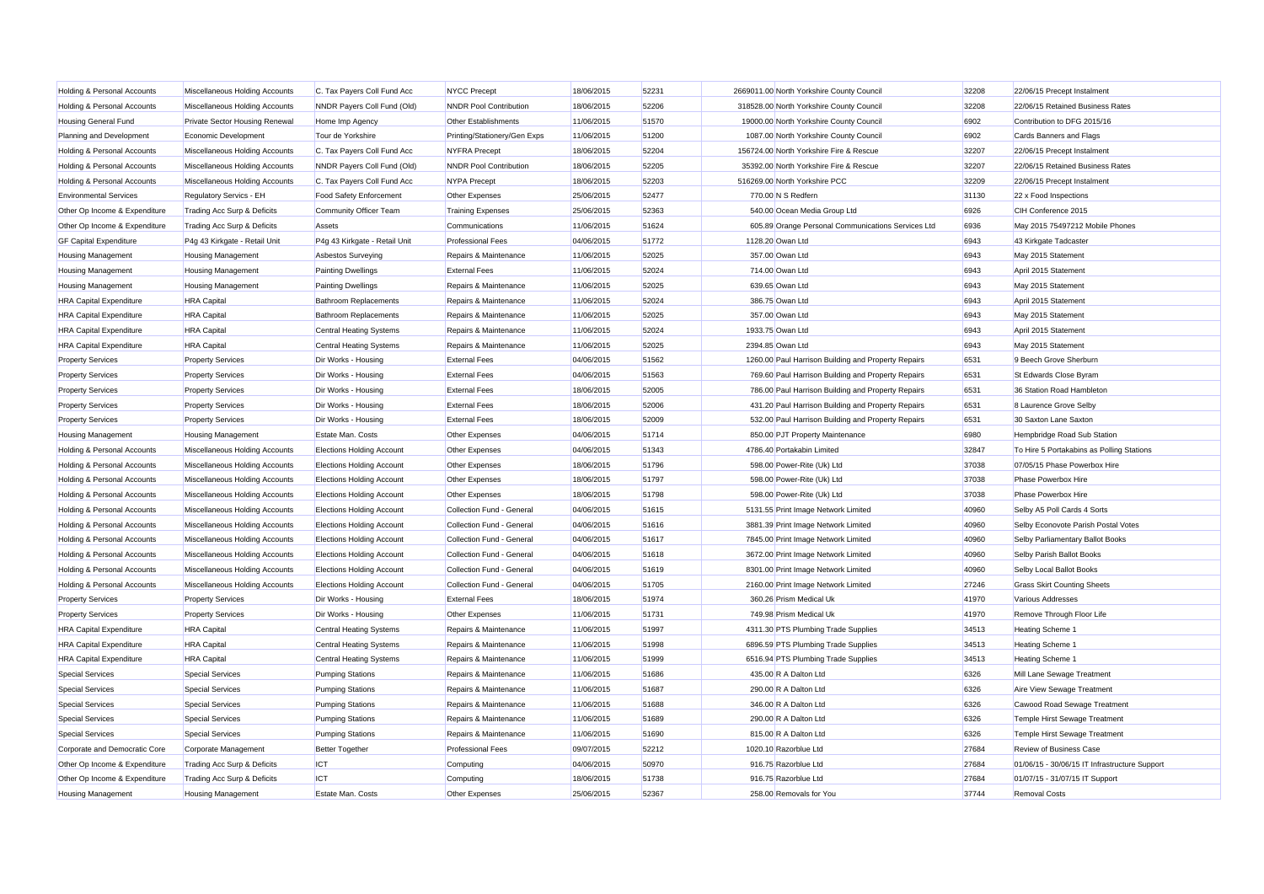| Holding & Personal Accounts            | Miscellaneous Holding Accounts        | C. Tax Payers Coll Fund Acc      | <b>NYCC Precept</b>           | 18/06/2015 | 52231 | 2669011.00 North Yorkshire County Council           | 32208 | 22/06/15 Precept Instalment                   |
|----------------------------------------|---------------------------------------|----------------------------------|-------------------------------|------------|-------|-----------------------------------------------------|-------|-----------------------------------------------|
| Holding & Personal Accounts            | Miscellaneous Holding Accounts        | NNDR Payers Coll Fund (Old)      | <b>NNDR Pool Contribution</b> | 18/06/2015 | 52206 | 318528.00 North Yorkshire County Council            | 32208 | 22/06/15 Retained Business Rates              |
| <b>Housing General Fund</b>            | <b>Private Sector Housing Renewal</b> | Home Imp Agency                  | <b>Other Establishments</b>   | 11/06/2015 | 51570 | 19000.00 North Yorkshire County Council             | 6902  | Contribution to DFG 2015/16                   |
| Planning and Development               | Economic Development                  | Tour de Yorkshire                | Printing/Stationery/Gen Exps  | 11/06/2015 | 51200 | 1087.00 North Yorkshire County Council              | 6902  | Cards Banners and Flags                       |
| Holding & Personal Accounts            | Miscellaneous Holding Accounts        | C. Tax Payers Coll Fund Acc      | <b>NYFRA Precept</b>          | 18/06/2015 | 52204 | 156724.00 North Yorkshire Fire & Rescue             | 32207 | 22/06/15 Precept Instalment                   |
| <b>Holding &amp; Personal Accounts</b> | Miscellaneous Holding Accounts        | NNDR Payers Coll Fund (Old)      | <b>NNDR Pool Contribution</b> | 18/06/2015 | 52205 | 35392.00 North Yorkshire Fire & Rescue              | 32207 | 22/06/15 Retained Business Rates              |
| <b>Holding &amp; Personal Accounts</b> | Miscellaneous Holding Accounts        | C. Tax Payers Coll Fund Acc      | <b>NYPA</b> Precept           | 18/06/2015 | 52203 | 516269.00 North Yorkshire PCC                       | 32209 | 22/06/15 Precept Instalment                   |
| <b>Environmental Services</b>          | Regulatory Servics - EH               | Food Safety Enforcement          | Other Expenses                | 25/06/2015 | 52477 | 770.00 N S Redfern                                  | 31130 | 22 x Food Inspections                         |
| Other Op Income & Expenditure          | Trading Acc Surp & Deficits           | Community Officer Team           | <b>Training Expenses</b>      | 25/06/2015 | 52363 | 540.00 Ocean Media Group Ltd                        | 6926  | CIH Conference 2015                           |
| Other Op Income & Expenditure          | Trading Acc Surp & Deficits           | Assets                           | Communications                | 11/06/2015 | 51624 | 605.89 Orange Personal Communications Services Ltd  | 6936  | May 2015 75497212 Mobile Phones               |
| <b>GF Capital Expenditure</b>          | P4g 43 Kirkgate - Retail Unit         | P4g 43 Kirkgate - Retail Unit    | <b>Professional Fees</b>      | 04/06/2015 | 51772 | 1128.20 Owan Ltd                                    | 6943  | 43 Kirkgate Tadcaster                         |
| <b>Housing Management</b>              | <b>Housing Management</b>             | Asbestos Surveying               | Repairs & Maintenance         | 11/06/2015 | 52025 | 357.00 Owan Ltd                                     | 6943  | May 2015 Statement                            |
| <b>Housing Management</b>              | <b>Housing Management</b>             | <b>Painting Dwellings</b>        | <b>External Fees</b>          | 11/06/2015 | 52024 | 714.00 Owan Ltd                                     | 6943  | April 2015 Statement                          |
| <b>Housing Management</b>              | <b>Housing Management</b>             | <b>Painting Dwellings</b>        | Repairs & Maintenance         | 11/06/2015 | 52025 | 639.65 Owan Ltd                                     | 6943  | May 2015 Statement                            |
| <b>HRA Capital Expenditure</b>         | <b>HRA</b> Capital                    | <b>Bathroom Replacements</b>     | Repairs & Maintenance         | 11/06/2015 | 52024 | 386.75 Owan Ltd                                     | 6943  | April 2015 Statement                          |
| <b>HRA Capital Expenditure</b>         | <b>HRA</b> Capital                    | <b>Bathroom Replacements</b>     | Repairs & Maintenance         | 11/06/2015 | 52025 | 357.00 Owan Ltd                                     | 6943  | May 2015 Statement                            |
| <b>HRA Capital Expenditure</b>         | <b>HRA</b> Capital                    | <b>Central Heating Systems</b>   | Repairs & Maintenance         | 11/06/2015 | 52024 | 1933.75 Owan Ltd                                    | 6943  | April 2015 Statement                          |
| <b>HRA Capital Expenditure</b>         | <b>HRA</b> Capital                    | <b>Central Heating Systems</b>   | Repairs & Maintenance         | 11/06/2015 | 52025 | 2394.85 Owan Ltd                                    | 6943  | May 2015 Statement                            |
| <b>Property Services</b>               | <b>Property Services</b>              | Dir Works - Housing              | <b>External Fees</b>          | 04/06/2015 | 51562 | 1260.00 Paul Harrison Building and Property Repairs | 6531  | 9 Beech Grove Sherburn                        |
| <b>Property Services</b>               | <b>Property Services</b>              | Dir Works - Housing              | <b>External Fees</b>          | 04/06/2015 | 51563 | 769.60 Paul Harrison Building and Property Repairs  | 6531  | St Edwards Close Byram                        |
| <b>Property Services</b>               | <b>Property Services</b>              | Dir Works - Housing              | <b>External Fees</b>          | 18/06/2015 | 52005 | 786.00 Paul Harrison Building and Property Repairs  | 6531  | 36 Station Road Hambleton                     |
| <b>Property Services</b>               | <b>Property Services</b>              | Dir Works - Housing              | <b>External Fees</b>          | 18/06/2015 | 52006 | 431.20 Paul Harrison Building and Property Repairs  | 6531  | 8 Laurence Grove Selby                        |
| <b>Property Services</b>               | <b>Property Services</b>              | Dir Works - Housing              | <b>External Fees</b>          | 18/06/2015 | 52009 | 532.00 Paul Harrison Building and Property Repairs  | 6531  | 30 Saxton Lane Saxton                         |
| <b>Housing Management</b>              | <b>Housing Management</b>             | Estate Man. Costs                | Other Expenses                | 04/06/2015 | 51714 | 850.00 PJT Property Maintenance                     | 6980  | Hempbridge Road Sub Station                   |
| <b>Holding &amp; Personal Accounts</b> | Miscellaneous Holding Accounts        | <b>Elections Holding Account</b> | Other Expenses                | 04/06/2015 | 51343 | 4786.40 Portakabin Limited                          | 32847 | To Hire 5 Portakabins as Polling Stations     |
| <b>Holding &amp; Personal Accounts</b> | Miscellaneous Holding Accounts        | <b>Elections Holding Account</b> | Other Expenses                | 18/06/2015 | 51796 | 598.00 Power-Rite (Uk) Ltd                          | 37038 | 07/05/15 Phase Powerbox Hire                  |
| <b>Holding &amp; Personal Accounts</b> | Miscellaneous Holding Accounts        | <b>Elections Holding Account</b> | Other Expenses                | 18/06/2015 | 51797 | 598.00 Power-Rite (Uk) Ltd                          | 37038 | <b>Phase Powerbox Hire</b>                    |
| <b>Holding &amp; Personal Accounts</b> | Miscellaneous Holding Accounts        | <b>Elections Holding Account</b> | Other Expenses                | 18/06/2015 | 51798 | 598.00 Power-Rite (Uk) Ltd                          | 37038 | Phase Powerbox Hire                           |
| <b>Holding &amp; Personal Accounts</b> | Miscellaneous Holding Accounts        | <b>Elections Holding Account</b> | Collection Fund - General     | 04/06/2015 | 51615 | 5131.55 Print Image Network Limited                 | 40960 | Selby A5 Poll Cards 4 Sorts                   |
| <b>Holding &amp; Personal Accounts</b> | Miscellaneous Holding Accounts        | <b>Elections Holding Account</b> | Collection Fund - General     | 04/06/2015 | 51616 | 3881.39 Print Image Network Limited                 | 40960 | Selby Econovote Parish Postal Votes           |
| <b>Holding &amp; Personal Accounts</b> | Miscellaneous Holding Accounts        | <b>Elections Holding Account</b> | Collection Fund - General     | 04/06/2015 | 51617 | 7845.00 Print Image Network Limited                 | 40960 | Selby Parliamentary Ballot Books              |
| <b>Holding &amp; Personal Accounts</b> | Miscellaneous Holding Accounts        | <b>Elections Holding Account</b> | Collection Fund - General     | 04/06/2015 | 51618 | 3672.00 Print Image Network Limited                 | 40960 | Selby Parish Ballot Books                     |
| <b>Holding &amp; Personal Accounts</b> | Miscellaneous Holding Accounts        | <b>Elections Holding Account</b> | Collection Fund - General     | 04/06/2015 | 51619 | 8301.00 Print Image Network Limited                 | 40960 | Selby Local Ballot Books                      |
| <b>Holding &amp; Personal Accounts</b> | Miscellaneous Holding Accounts        | <b>Elections Holding Account</b> | Collection Fund - General     | 04/06/2015 | 51705 | 2160.00 Print Image Network Limited                 | 27246 | <b>Grass Skirt Counting Sheets</b>            |
| <b>Property Services</b>               | <b>Property Services</b>              | Dir Works - Housing              | <b>External Fees</b>          | 18/06/2015 | 51974 | 360.26 Prism Medical Uk                             | 41970 | Various Addresses                             |
| <b>Property Services</b>               | <b>Property Services</b>              | Dir Works - Housing              | Other Expenses                | 11/06/2015 | 51731 | 749.98 Prism Medical Uk                             | 41970 | Remove Through Floor Life                     |
| <b>HRA Capital Expenditure</b>         | <b>HRA</b> Capital                    | <b>Central Heating Systems</b>   | Repairs & Maintenance         | 11/06/2015 | 51997 | 4311.30 PTS Plumbing Trade Supplies                 | 34513 | <b>Heating Scheme 1</b>                       |
| <b>HRA Capital Expenditure</b>         | <b>HRA</b> Capital                    | <b>Central Heating Systems</b>   | Repairs & Maintenance         | 11/06/2015 | 51998 | 6896.59 PTS Plumbing Trade Supplies                 | 34513 | Heating Scheme 1                              |
| <b>HRA Capital Expenditure</b>         | <b>HRA</b> Capital                    | <b>Central Heating Systems</b>   | Repairs & Maintenance         | 11/06/2015 | 51999 | 6516.94 PTS Plumbing Trade Supplies                 | 34513 | <b>Heating Scheme 1</b>                       |
| <b>Special Services</b>                | Special Services                      | <b>Pumping Stations</b>          | Repairs & Maintenance         | 11/06/2015 | 51686 | 435.00 R A Dalton Ltd                               | 6326  | Mill Lane Sewage Treatment                    |
| <b>Special Services</b>                | Special Services                      | <b>Pumping Stations</b>          | Repairs & Maintenance         | 11/06/2015 | 51687 | 290.00 R A Dalton Ltd                               | 6326  | Aire View Sewage Treatment                    |
| <b>Special Services</b>                | Special Services                      | <b>Pumping Stations</b>          | Repairs & Maintenance         | 11/06/2015 | 51688 | 346.00 R A Dalton Ltd                               | 6326  | Cawood Road Sewage Treatment                  |
| <b>Special Services</b>                | Special Services                      | <b>Pumping Stations</b>          | Repairs & Maintenance         | 11/06/2015 | 51689 | 290.00 R A Dalton Ltd                               | 6326  | Temple Hirst Sewage Treatment                 |
| <b>Special Services</b>                | <b>Special Services</b>               | <b>Pumping Stations</b>          | Repairs & Maintenance         | 11/06/2015 | 51690 | 815.00 R A Dalton Ltd                               | 6326  | Temple Hirst Sewage Treatment                 |
| Corporate and Democratic Core          | Corporate Management                  | <b>Better Together</b>           | <b>Professional Fees</b>      | 09/07/2015 | 52212 | 1020.10 Razorblue Ltd                               | 27684 | <b>Review of Business Case</b>                |
| Other Op Income & Expenditure          | Trading Acc Surp & Deficits           | <b>ICT</b>                       | Computing                     | 04/06/2015 | 50970 | 916.75 Razorblue Ltd                                | 27684 | 01/06/15 - 30/06/15 IT Infrastructure Support |
| Other Op Income & Expenditure          | Trading Acc Surp & Deficits           | <b>ICT</b>                       | Computing                     | 18/06/2015 | 51738 | 916.75 Razorblue Ltd                                | 27684 | 01/07/15 - 31/07/15 IT Support                |
| <b>Housing Management</b>              | <b>Housing Management</b>             | Estate Man, Costs                | Other Expenses                | 25/06/2015 | 52367 | 258.00 Removals for You                             | 37744 | <b>Removal Costs</b>                          |
|                                        |                                       |                                  |                               |            |       |                                                     |       |                                               |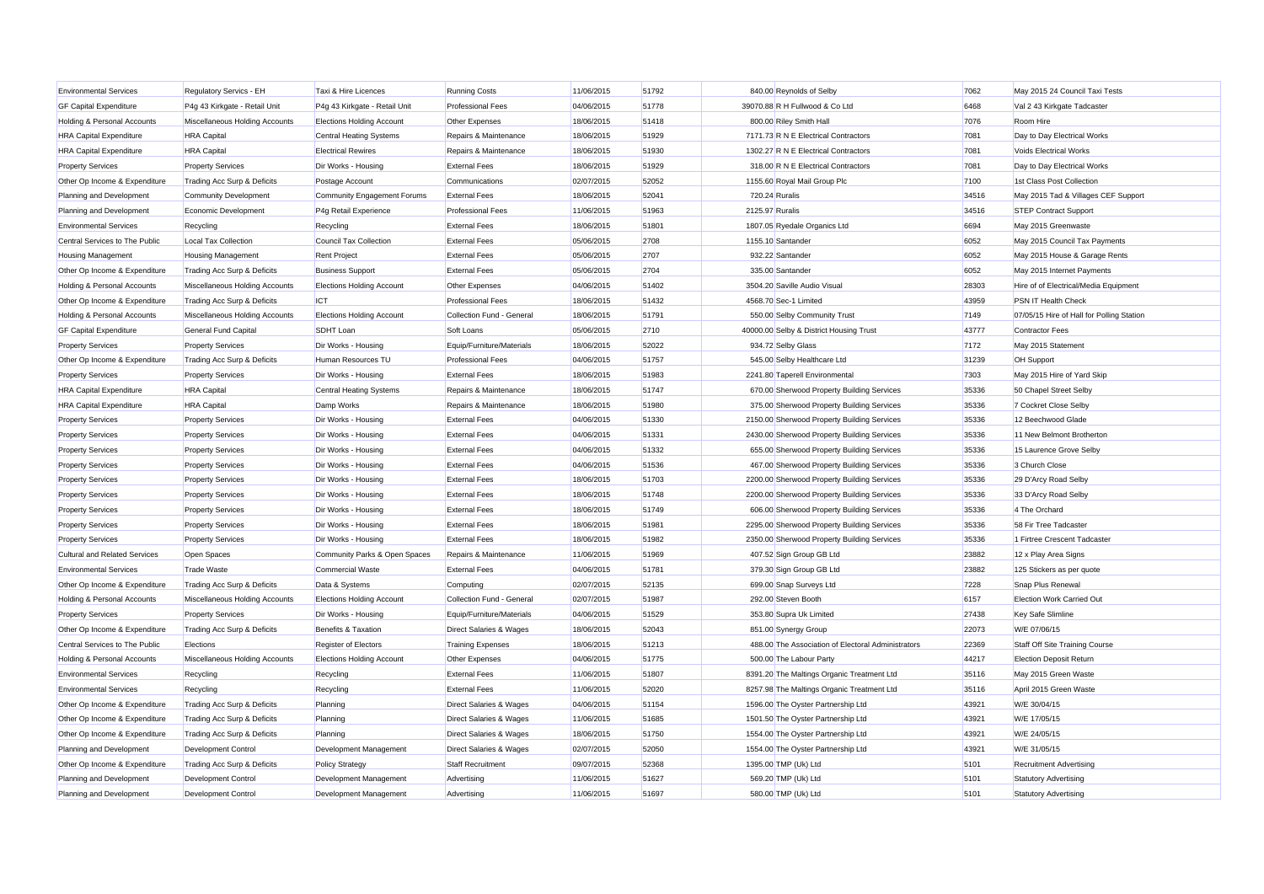| <b>Environmental Services</b>          | Regulatory Servics - EH        | Taxi & Hire Licences               | <b>Running Costs</b>               | 11/06/2015 | 51792 | 840.00 Reynolds of Selby                |                                                    | 7062  | May 2015 24 Council Taxi Tests            |
|----------------------------------------|--------------------------------|------------------------------------|------------------------------------|------------|-------|-----------------------------------------|----------------------------------------------------|-------|-------------------------------------------|
| <b>GF Capital Expenditure</b>          | P4g 43 Kirkgate - Retail Unit  | P4g 43 Kirkgate - Retail Unit      | <b>Professional Fees</b>           | 04/06/2015 | 51778 | 39070.88 R H Fullwood & Co Ltd          |                                                    | 6468  | Val 2 43 Kirkgate Tadcaster               |
| <b>Holding &amp; Personal Accounts</b> | Miscellaneous Holding Accounts | <b>Elections Holding Account</b>   | Other Expenses                     | 18/06/2015 | 51418 | 800.00 Riley Smith Hall                 |                                                    | 7076  | Room Hire                                 |
| <b>HRA Capital Expenditure</b>         | <b>HRA</b> Capital             | <b>Central Heating Systems</b>     | Repairs & Maintenance              | 18/06/2015 | 51929 | 7171.73 R N E Electrical Contractors    |                                                    | 7081  | Day to Day Electrical Works               |
| <b>HRA Capital Expenditure</b>         | <b>HRA</b> Capital             | <b>Electrical Rewires</b>          | Repairs & Maintenance              | 18/06/2015 | 51930 | 1302.27 R N E Electrical Contractors    |                                                    | 7081  | Voids Electrical Works                    |
| <b>Property Services</b>               | <b>Property Services</b>       | Dir Works - Housing                | <b>External Fees</b>               | 18/06/2015 | 51929 | 318.00 R N E Electrical Contractors     |                                                    | 7081  | Day to Day Electrical Works               |
| Other Op Income & Expenditure          | Trading Acc Surp & Deficits    | Postage Account                    | Communications                     | 02/07/2015 | 52052 | 1155.60 Royal Mail Group Plc            |                                                    | 7100  | 1st Class Post Collection                 |
| Planning and Development               | <b>Community Development</b>   | <b>Community Engagement Forums</b> | <b>External Fees</b>               | 18/06/2015 | 52041 | 720.24 Ruralis                          |                                                    | 34516 | May 2015 Tad & Villages CEF Support       |
| Planning and Development               | Economic Development           | P4g Retail Experience              | <b>Professional Fees</b>           | 11/06/2015 | 51963 | 2125.97 Ruralis                         |                                                    | 34516 | <b>STEP Contract Support</b>              |
| <b>Environmental Services</b>          | Recycling                      | Recycling                          | <b>External Fees</b>               | 18/06/2015 | 51801 | 1807.05 Ryedale Organics Ltd            |                                                    | 6694  | May 2015 Greenwaste                       |
| Central Services to The Public         | Local Tax Collection           | <b>Council Tax Collection</b>      | <b>External Fees</b>               | 05/06/2015 | 2708  | 1155.10 Santander                       |                                                    | 6052  | May 2015 Council Tax Payments             |
| <b>Housing Management</b>              | <b>Housing Management</b>      | <b>Rent Project</b>                | <b>External Fees</b>               | 05/06/2015 | 2707  | 932.22 Santander                        |                                                    | 6052  | May 2015 House & Garage Rents             |
| Other Op Income & Expenditure          | Trading Acc Surp & Deficits    | <b>Business Support</b>            | <b>External Fees</b>               | 05/06/2015 | 2704  | 335.00 Santander                        |                                                    | 6052  | May 2015 Internet Payments                |
| <b>Holding &amp; Personal Accounts</b> | Miscellaneous Holding Accounts | <b>Elections Holding Account</b>   | Other Expenses                     | 04/06/2015 | 51402 | 3504.20 Saville Audio Visual            |                                                    | 28303 | Hire of of Electrical/Media Equipment     |
| Other Op Income & Expenditure          | Trading Acc Surp & Deficits    | <b>ICT</b>                         | <b>Professional Fees</b>           | 18/06/2015 | 51432 | 4568.70 Sec-1 Limited                   |                                                    | 43959 | PSN IT Health Check                       |
| <b>Holding &amp; Personal Accounts</b> | Miscellaneous Holding Accounts | <b>Elections Holding Account</b>   | Collection Fund - General          | 18/06/2015 | 51791 | 550.00 Selby Community Trust            |                                                    | 7149  | 07/05/15 Hire of Hall for Polling Station |
| <b>GF Capital Expenditure</b>          | General Fund Capital           | <b>SDHT Loan</b>                   | Soft Loans                         | 05/06/2015 | 2710  | 40000.00 Selby & District Housing Trust |                                                    | 43777 | <b>Contractor Fees</b>                    |
| <b>Property Services</b>               | <b>Property Services</b>       | Dir Works - Housing                | Equip/Furniture/Materials          | 18/06/2015 | 52022 | 934.72 Selby Glass                      |                                                    | 7172  | May 2015 Statement                        |
| Other Op Income & Expenditure          | Trading Acc Surp & Deficits    | Human Resources TU                 | <b>Professional Fees</b>           | 04/06/2015 | 51757 | 545.00 Selby Healthcare Ltd             |                                                    | 31239 | <b>OH Support</b>                         |
| <b>Property Services</b>               | <b>Property Services</b>       | Dir Works - Housing                | <b>External Fees</b>               | 18/06/2015 | 51983 | 2241.80 Taperell Environmental          |                                                    | 7303  | May 2015 Hire of Yard Skip                |
| <b>HRA Capital Expenditure</b>         | <b>HRA</b> Capital             | <b>Central Heating Systems</b>     | Repairs & Maintenance              | 18/06/2015 | 51747 |                                         | 670.00 Sherwood Property Building Services         | 35336 | 50 Chapel Street Selby                    |
| <b>HRA Capital Expenditure</b>         | <b>HRA</b> Capital             | Damp Works                         | Repairs & Maintenance              | 18/06/2015 | 51980 |                                         | 375.00 Sherwood Property Building Services         | 35336 | 7 Cockret Close Selby                     |
| <b>Property Services</b>               | <b>Property Services</b>       | Dir Works - Housing                | <b>External Fees</b>               | 04/06/2015 | 51330 |                                         | 2150.00 Sherwood Property Building Services        | 35336 | 12 Beechwood Glade                        |
| <b>Property Services</b>               | <b>Property Services</b>       | Dir Works - Housing                | <b>External Fees</b>               | 04/06/2015 | 51331 |                                         | 2430.00 Sherwood Property Building Services        | 35336 | 11 New Belmont Brotherton                 |
| <b>Property Services</b>               | <b>Property Services</b>       | Dir Works - Housing                | <b>External Fees</b>               | 04/06/2015 | 51332 |                                         | 655.00 Sherwood Property Building Services         | 35336 | 15 Laurence Grove Selby                   |
| <b>Property Services</b>               | <b>Property Services</b>       | Dir Works - Housing                | <b>External Fees</b>               | 04/06/2015 | 51536 |                                         | 467.00 Sherwood Property Building Services         | 35336 | 3 Church Close                            |
| <b>Property Services</b>               | <b>Property Services</b>       | Dir Works - Housing                | <b>External Fees</b>               | 18/06/2015 | 51703 |                                         | 2200.00 Sherwood Property Building Services        | 35336 | 29 D'Arcy Road Selby                      |
| <b>Property Services</b>               | <b>Property Services</b>       | Dir Works - Housing                | <b>External Fees</b>               | 18/06/2015 | 51748 |                                         | 2200.00 Sherwood Property Building Services        | 35336 | 33 D'Arcy Road Selby                      |
| <b>Property Services</b>               | <b>Property Services</b>       | Dir Works - Housing                | <b>External Fees</b>               | 18/06/2015 | 51749 |                                         | 606.00 Sherwood Property Building Services         | 35336 | 4 The Orchard                             |
| <b>Property Services</b>               | <b>Property Services</b>       | Dir Works - Housing                | <b>External Fees</b>               | 18/06/2015 | 51981 |                                         | 2295.00 Sherwood Property Building Services        | 35336 | 58 Fir Tree Tadcaster                     |
| <b>Property Services</b>               | <b>Property Services</b>       | Dir Works - Housing                | <b>External Fees</b>               | 18/06/2015 | 51982 |                                         | 2350.00 Sherwood Property Building Services        | 35336 | 1 Firtree Crescent Tadcaster              |
| <b>Cultural and Related Services</b>   | Open Spaces                    | Community Parks & Open Spaces      | Repairs & Maintenance              | 11/06/2015 | 51969 | 407.52 Sign Group GB Ltd                |                                                    | 23882 | 12 x Play Area Signs                      |
| <b>Environmental Services</b>          | <b>Trade Waste</b>             | <b>Commercial Waste</b>            | <b>External Fees</b>               | 04/06/2015 | 51781 | 379.30 Sign Group GB Ltd                |                                                    | 23882 | 125 Stickers as per quote                 |
| Other Op Income & Expenditure          | Trading Acc Surp & Deficits    | Data & Systems                     | Computing                          | 02/07/2015 | 52135 | 699.00 Snap Surveys Ltd                 |                                                    | 7228  | Snap Plus Renewal                         |
| <b>Holding &amp; Personal Accounts</b> | Miscellaneous Holding Accounts | <b>Elections Holding Account</b>   | Collection Fund - General          | 02/07/2015 | 51987 | 292.00 Steven Booth                     |                                                    | 6157  | <b>Election Work Carried Out</b>          |
| <b>Property Services</b>               | <b>Property Services</b>       | Dir Works - Housing                | Equip/Furniture/Materials          | 04/06/2015 | 51529 | 353.80 Supra Uk Limited                 |                                                    | 27438 | <b>Key Safe Slimline</b>                  |
| Other Op Income & Expenditure          | Trading Acc Surp & Deficits    | Benefits & Taxation                | Direct Salaries & Wages            | 18/06/2015 | 52043 | 851.00 Synergy Group                    |                                                    | 22073 | W/E 07/06/15                              |
| Central Services to The Public         | Elections                      | Register of Electors               | <b>Training Expenses</b>           | 18/06/2015 | 51213 |                                         | 488.00 The Association of Electoral Administrators | 22369 | Staff Off Site Training Course            |
| <b>Holding &amp; Personal Accounts</b> | Miscellaneous Holding Accounts | <b>Elections Holding Account</b>   | Other Expenses                     | 04/06/2015 | 51775 | 500.00 The Labour Party                 |                                                    | 44217 | <b>Election Deposit Return</b>            |
| <b>Environmental Services</b>          | Recycling                      | Recycling                          | <b>External Fees</b>               | 11/06/2015 | 51807 |                                         | 8391.20 The Maltings Organic Treatment Ltd         | 35116 | May 2015 Green Waste                      |
| <b>Environmental Services</b>          | Recycling                      | Recycling                          | <b>External Fees</b>               | 11/06/2015 | 52020 |                                         | 8257.98 The Maltings Organic Treatment Ltd         | 35116 | April 2015 Green Waste                    |
| Other Op Income & Expenditure          | Trading Acc Surp & Deficits    | Planning                           | Direct Salaries & Wages            | 04/06/2015 | 51154 | 1596.00 The Oyster Partnership Ltd      |                                                    | 43921 | W/E 30/04/15                              |
| Other Op Income & Expenditure          | Trading Acc Surp & Deficits    | Planning                           | Direct Salaries & Wages            | 11/06/2015 | 51685 | 1501.50 The Oyster Partnership Ltd      |                                                    | 43921 | W/E 17/05/15                              |
| Other Op Income & Expenditure          | Trading Acc Surp & Deficits    | Planning                           | <b>Direct Salaries &amp; Wages</b> | 18/06/2015 | 51750 | 1554.00 The Oyster Partnership Ltd      |                                                    | 43921 | W/E 24/05/15                              |
| Planning and Development               | Development Control            | Development Management             | Direct Salaries & Wages            | 02/07/2015 | 52050 | 1554.00 The Oyster Partnership Ltd      |                                                    | 43921 | W/E 31/05/15                              |
| Other Op Income & Expenditure          | Trading Acc Surp & Deficits    | <b>Policy Strategy</b>             | Staff Recruitment                  | 09/07/2015 | 52368 | 1395.00 TMP (Uk) Ltd                    |                                                    | 5101  | <b>Recruitment Advertising</b>            |
| Planning and Development               | Development Control            | Development Management             | Advertising                        | 11/06/2015 | 51627 | 569.20 TMP (Uk) Ltd                     |                                                    | 5101  | <b>Statutory Advertising</b>              |
| Planning and Development               | <b>Development Control</b>     | Development Management             | Advertising                        | 11/06/2015 | 51697 | 580.00 TMP (Uk) Ltd                     |                                                    | 5101  | <b>Statutory Advertising</b>              |
|                                        |                                |                                    |                                    |            |       |                                         |                                                    |       |                                           |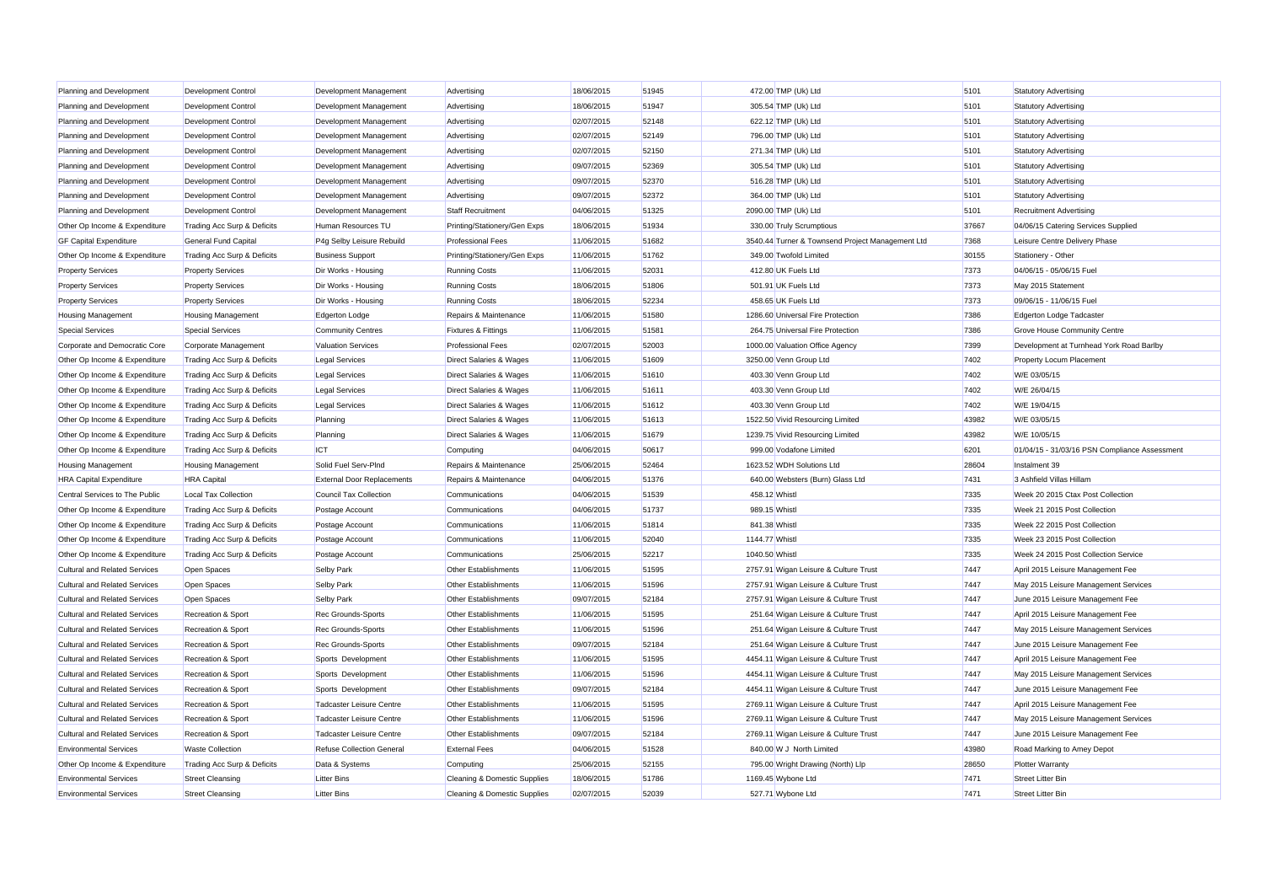| Planning and Development             | <b>Development Control</b>    | Development Management            | Advertising                        | 18/06/2015 | 51945 |                | 472.00 TMP (Uk) Ltd                              | 5101  | <b>Statutory Advertising</b>                  |
|--------------------------------------|-------------------------------|-----------------------------------|------------------------------------|------------|-------|----------------|--------------------------------------------------|-------|-----------------------------------------------|
| Planning and Development             | <b>Development Control</b>    | Development Management            | Advertising                        | 18/06/2015 | 51947 |                | 305.54 TMP (Uk) Ltd                              | 5101  | <b>Statutory Advertising</b>                  |
| Planning and Development             | <b>Development Control</b>    | Development Management            | Advertising                        | 02/07/2015 | 52148 |                | 622.12 TMP (Uk) Ltd                              | 5101  | <b>Statutory Advertising</b>                  |
| Planning and Development             | <b>Development Control</b>    | Development Management            | Advertising                        | 02/07/2015 | 52149 |                | 796.00 TMP (Uk) Ltd                              | 5101  | <b>Statutory Advertising</b>                  |
| Planning and Development             | <b>Development Control</b>    | Development Management            | Advertising                        | 02/07/2015 | 52150 |                | 271.34 TMP (Uk) Ltd                              | 5101  | <b>Statutory Advertising</b>                  |
| Planning and Development             | <b>Development Control</b>    | Development Management            | Advertising                        | 09/07/2015 | 52369 |                | 305.54 TMP (Uk) Ltd                              | 5101  | <b>Statutory Advertising</b>                  |
| Planning and Development             | <b>Development Control</b>    | Development Management            | Advertising                        | 09/07/2015 | 52370 |                | 516.28 TMP (Uk) Ltd                              | 5101  | <b>Statutory Advertising</b>                  |
| Planning and Development             | <b>Development Control</b>    | Development Management            | Advertising                        | 09/07/2015 | 52372 |                | 364.00 TMP (Uk) Ltd                              | 5101  | <b>Statutory Advertising</b>                  |
| Planning and Development             | Development Control           | Development Management            | Staff Recruitment                  | 04/06/2015 | 51325 |                | 2090.00 TMP (Uk) Ltd                             | 5101  | <b>Recruitment Advertising</b>                |
| Other Op Income & Expenditure        | Trading Acc Surp & Deficits   | Human Resources TU                | Printing/Stationery/Gen Exps       | 18/06/2015 | 51934 |                | 330.00 Truly Scrumptious                         | 37667 | 04/06/15 Catering Services Supplied           |
| <b>GF Capital Expenditure</b>        | <b>General Fund Capital</b>   | P4g Selby Leisure Rebuild         | <b>Professional Fees</b>           | 11/06/2015 | 51682 |                | 3540.44 Turner & Townsend Project Management Ltd | 7368  | Leisure Centre Delivery Phase                 |
| Other Op Income & Expenditure        | Trading Acc Surp & Deficits   | <b>Business Support</b>           | Printing/Stationery/Gen Exps       | 11/06/2015 | 51762 |                | 349.00 Twofold Limited                           | 30155 | Stationery - Other                            |
| <b>Property Services</b>             | <b>Property Services</b>      | Dir Works - Housing               | <b>Running Costs</b>               | 11/06/2015 | 52031 |                | 412.80 UK Fuels Ltd                              | 7373  | 04/06/15 - 05/06/15 Fuel                      |
| <b>Property Services</b>             | <b>Property Services</b>      | Dir Works - Housing               | <b>Running Costs</b>               | 18/06/2015 | 51806 |                | 501.91 UK Fuels Ltd                              | 7373  | May 2015 Statement                            |
| <b>Property Services</b>             | <b>Property Services</b>      | Dir Works - Housing               | <b>Running Costs</b>               | 18/06/2015 | 52234 |                | 458.65 UK Fuels Ltd                              | 7373  | 09/06/15 - 11/06/15 Fuel                      |
| <b>Housing Management</b>            | <b>Housing Management</b>     | Edgerton Lodge                    | Repairs & Maintenance              | 11/06/2015 | 51580 |                | 1286.60 Universal Fire Protection                | 7386  | Edgerton Lodge Tadcaster                      |
| <b>Special Services</b>              | <b>Special Services</b>       | <b>Community Centres</b>          | <b>Fixtures &amp; Fittings</b>     | 11/06/2015 | 51581 |                | 264.75 Universal Fire Protection                 | 7386  | Grove House Community Centre                  |
| Corporate and Democratic Core        | Corporate Management          | <b>Valuation Services</b>         | <b>Professional Fees</b>           | 02/07/2015 | 52003 |                | 1000.00 Valuation Office Agency                  | 7399  | Development at Turnhead York Road Barlby      |
| Other Op Income & Expenditure        | Trading Acc Surp & Deficits   | <b>Legal Services</b>             | Direct Salaries & Wages            | 11/06/2015 | 51609 |                | 3250.00 Venn Group Ltd                           | 7402  | <b>Property Locum Placement</b>               |
| Other Op Income & Expenditure        | Trading Acc Surp & Deficits   | <b>Legal Services</b>             | Direct Salaries & Wages            | 11/06/2015 | 51610 |                | 403.30 Venn Group Ltd                            | 7402  | W/E 03/05/15                                  |
| Other Op Income & Expenditure        | Trading Acc Surp & Deficits   | <b>Legal Services</b>             | <b>Direct Salaries &amp; Wages</b> | 11/06/2015 | 51611 |                | 403.30 Venn Group Ltd                            | 7402  | W/E 26/04/15                                  |
| Other Op Income & Expenditure        | Trading Acc Surp & Deficits   | <b>Legal Services</b>             | <b>Direct Salaries &amp; Wages</b> | 11/06/2015 | 51612 |                | 403.30 Venn Group Ltd                            | 7402  | W/E 19/04/15                                  |
| Other Op Income & Expenditure        | Trading Acc Surp & Deficits   | Planning                          | Direct Salaries & Wages            | 11/06/2015 | 51613 |                | 1522.50 Vivid Resourcing Limited                 | 43982 | W/E 03/05/15                                  |
| Other Op Income & Expenditure        | Trading Acc Surp & Deficits   | Planning                          | Direct Salaries & Wages            | 11/06/2015 | 51679 |                | 1239.75 Vivid Resourcing Limited                 | 43982 | W/E 10/05/15                                  |
| Other Op Income & Expenditure        | Trading Acc Surp & Deficits   | <b>ICT</b>                        | Computing                          | 04/06/2015 | 50617 |                | 999.00 Vodafone Limited                          | 6201  | 01/04/15 - 31/03/16 PSN Compliance Assessment |
| <b>Housing Management</b>            | <b>Housing Management</b>     | Solid Fuel Serv-PInd              | Repairs & Maintenance              | 25/06/2015 | 52464 |                | 1623.52 WDH Solutions Ltd                        | 28604 | Instalment 39                                 |
| <b>HRA Capital Expenditure</b>       | <b>HRA</b> Capital            | <b>External Door Replacements</b> | Repairs & Maintenance              | 04/06/2015 | 51376 |                | 640.00 Websters (Burn) Glass Ltd                 | 7431  | 3 Ashfield Villas Hillam                      |
| Central Services to The Public       | <b>Local Tax Collection</b>   | <b>Council Tax Collection</b>     | Communications                     | 04/06/2015 | 51539 | 458.12 Whistl  |                                                  | 7335  | Week 20 2015 Ctax Post Collection             |
| Other Op Income & Expenditure        | Trading Acc Surp & Deficits   | Postage Account                   | Communications                     | 04/06/2015 | 51737 | 989.15 Whistl  |                                                  | 7335  | Week 21 2015 Post Collection                  |
| Other Op Income & Expenditure        | Trading Acc Surp & Deficits   | Postage Account                   | Communications                     | 11/06/2015 | 51814 | 841.38 Whistl  |                                                  | 7335  | Week 22 2015 Post Collection                  |
| Other Op Income & Expenditure        | Trading Acc Surp & Deficits   | Postage Account                   | Communications                     | 11/06/2015 | 52040 | 1144.77 Whistl |                                                  | 7335  | Week 23 2015 Post Collection                  |
| Other Op Income & Expenditure        | Trading Acc Surp & Deficits   | Postage Account                   | Communications                     | 25/06/2015 | 52217 | 1040.50 Whistl |                                                  | 7335  | Week 24 2015 Post Collection Service          |
| Cultural and Related Services        | Open Spaces                   | Selby Park                        | Other Establishments               | 11/06/2015 | 51595 |                | 2757.91 Wigan Leisure & Culture Trust            | 7447  | April 2015 Leisure Management Fee             |
| <b>Cultural and Related Services</b> | Open Spaces                   | Selby Park                        | Other Establishments               | 11/06/2015 | 51596 |                | 2757.91 Wigan Leisure & Culture Trust            | 7447  | May 2015 Leisure Management Services          |
| <b>Cultural and Related Services</b> | Open Spaces                   | Selby Park                        | Other Establishments               | 09/07/2015 | 52184 |                | 2757.91 Wigan Leisure & Culture Trust            | 7447  | June 2015 Leisure Management Fee              |
| <b>Cultural and Related Services</b> | Recreation & Sport            | Rec Grounds-Sports                | Other Establishments               | 11/06/2015 | 51595 |                | 251.64 Wigan Leisure & Culture Trust             | 7447  | April 2015 Leisure Management Fee             |
| <b>Cultural and Related Services</b> | <b>Recreation &amp; Sport</b> | Rec Grounds-Sports                | <b>Other Establishments</b>        | 11/06/2015 | 51596 |                | 251.64 Wigan Leisure & Culture Trust             | 7447  | May 2015 Leisure Management Services          |
| <b>Cultural and Related Services</b> | Recreation & Sport            | Rec Grounds-Sports                | Other Establishments               | 09/07/2015 | 52184 |                | 251.64 Wigan Leisure & Culture Trust             | 7447  | June 2015 Leisure Management Fee              |
| <b>Cultural and Related Services</b> | Recreation & Sport            | Sports Development                | Other Establishments               | 11/06/2015 | 51595 |                | 4454.11 Wigan Leisure & Culture Trust            | 7447  | April 2015 Leisure Management Fee             |
| <b>Cultural and Related Services</b> | <b>Recreation &amp; Sport</b> | Sports Development                | <b>Other Establishments</b>        | 11/06/2015 | 51596 |                | 4454.11 Wigan Leisure & Culture Trust            | 7447  | May 2015 Leisure Management Services          |
| <b>Cultural and Related Services</b> | Recreation & Sport            | Sports Development                | Other Establishments               | 09/07/2015 | 52184 |                | 4454.11 Wigan Leisure & Culture Trust            | 7447  | June 2015 Leisure Management Fee              |
| <b>Cultural and Related Services</b> | Recreation & Sport            | Tadcaster Leisure Centre          | Other Establishments               | 11/06/2015 | 51595 |                | 2769.11 Wigan Leisure & Culture Trust            | 7447  | April 2015 Leisure Management Fee             |
| <b>Cultural and Related Services</b> | Recreation & Sport            | <b>Tadcaster Leisure Centre</b>   | Other Establishments               | 11/06/2015 | 51596 |                | 2769.11 Wigan Leisure & Culture Trust            | 7447  | May 2015 Leisure Management Services          |
| <b>Cultural and Related Services</b> | <b>Recreation &amp; Sport</b> | <b>Tadcaster Leisure Centre</b>   | <b>Other Establishments</b>        | 09/07/2015 | 52184 |                | 2769.11 Wigan Leisure & Culture Trust            | 7447  | June 2015 Leisure Management Fee              |
| <b>Environmental Services</b>        | <b>Waste Collection</b>       | <b>Refuse Collection General</b>  | <b>External Fees</b>               | 04/06/2015 | 51528 |                | 840.00 W J North Limited                         | 43980 | Road Marking to Amey Depot                    |
| Other Op Income & Expenditure        | Trading Acc Surp & Deficits   | Data & Systems                    | Computing                          | 25/06/2015 | 52155 |                | 795.00 Wright Drawing (North) Llp                | 28650 | <b>Plotter Warranty</b>                       |
| <b>Environmental Services</b>        | <b>Street Cleansing</b>       | <b>Litter Bins</b>                | Cleaning & Domestic Supplies       | 18/06/2015 | 51786 |                | 1169.45 Wybone Ltd                               | 7471  | <b>Street Litter Bin</b>                      |
| <b>Environmental Services</b>        | <b>Street Cleansing</b>       | <b>Litter Bins</b>                | Cleaning & Domestic Supplies       | 02/07/2015 | 52039 |                | 527.71 Wybone Ltd                                | 7471  | <b>Street Litter Bin</b>                      |